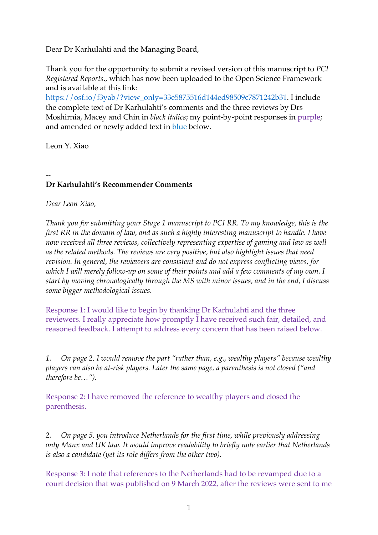Dear Dr Karhulahti and the Managing Board,

Thank you for the opportunity to submit a revised version of this manuscript to *PCI Registered Reports*., which has now been uploaded to the Open Science Framework and is available at this link:

https://osf.io/f3yab/?view\_only=33e5875516d144ed98509c7871242b31. I include the complete text of Dr Karhulahti's comments and the three reviews by Drs Moshirnia, Macey and Chin in *black italics*; my point-by-point responses in purple; and amended or newly added text in blue below.

Leon Y. Xiao

# -- **Dr Karhulahti's Recommender Comments**

*Dear Leon Xiao,*

*Thank you for submitting your Stage 1 manuscript to PCI RR. To my knowledge, this is the first RR in the domain of law, and as such a highly interesting manuscript to handle. I have now received all three reviews, collectively representing expertise of gaming and law as well as the related methods. The reviews are very positive, but also highlight issues that need revision. In general, the reviewers are consistent and do not express conflicting views, for which I will merely follow-up on some of their points and add a few comments of my own. I start by moving chronologically through the MS with minor issues, and in the end, I discuss some bigger methodological issues.*

Response 1: I would like to begin by thanking Dr Karhulahti and the three reviewers. I really appreciate how promptly I have received such fair, detailed, and reasoned feedback. I attempt to address every concern that has been raised below.

*1. On page 2, I would remove the part "rather than, e.g., wealthy players" because wealthy players can also be at-risk players. Later the same page, a parenthesis is not closed ("and therefore be…").*

Response 2: I have removed the reference to wealthy players and closed the parenthesis.

*2. On page 5, you introduce Netherlands for the first time, while previously addressing only Manx and UK law. It would improve readability to briefly note earlier that Netherlands is also a candidate (yet its role differs from the other two).*

Response 3: I note that references to the Netherlands had to be revamped due to a court decision that was published on 9 March 2022, after the reviews were sent to me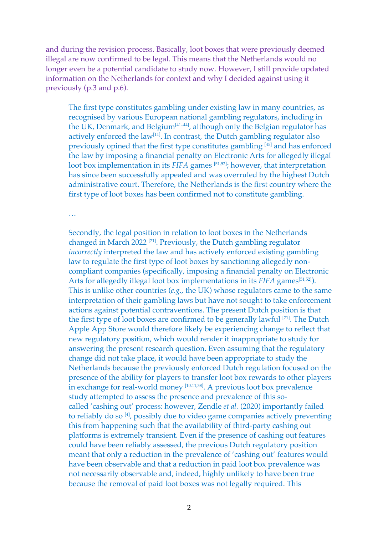and during the revision process. Basically, loot boxes that were previously deemed illegal are now confirmed to be legal. This means that the Netherlands would no longer even be a potential candidate to study now. However, I still provide updated information on the Netherlands for context and why I decided against using it previously (p.3 and p.6).

The first type constitutes gambling under existing law in many countries, as recognised by various European national gambling regulators, including in the UK, Denmark, and Belgium<sup>[41-44]</sup>, although only the Belgian regulator has actively enforced the law<sup>[11]</sup>. In contrast, the Dutch gambling regulator also previously opined that the first type constitutes gambling [45] and has enforced the law by imposing a financial penalty on Electronic Arts for allegedly illegal loot box implementation in its *FIFA* games <sup>[51,52]</sup>; however, that interpretation has since been successfully appealed and was overruled by the highest Dutch administrative court. Therefore, the Netherlands is the first country where the first type of loot boxes has been confirmed not to constitute gambling.

…

Secondly, the legal position in relation to loot boxes in the Netherlands changed in March 2022 [71]. Previously, the Dutch gambling regulator *incorrectly* interpreted the law and has actively enforced existing gambling law to regulate the first type of loot boxes by sanctioning allegedly noncompliant companies (specifically, imposing a financial penalty on Electronic Arts for allegedly illegal loot box implementations in its *FIFA* games<sup>[51,52]</sup>). This is unlike other countries (*e.g.*, the UK) whose regulators came to the same interpretation of their gambling laws but have not sought to take enforcement actions against potential contraventions. The present Dutch position is that the first type of loot boxes are confirmed to be generally lawful [71]. The Dutch Apple App Store would therefore likely be experiencing change to reflect that new regulatory position, which would render it inappropriate to study for answering the present research question. Even assuming that the regulatory change did not take place, it would have been appropriate to study the Netherlands because the previously enforced Dutch regulation focused on the presence of the ability for players to transfer loot box rewards to other players in exchange for real-world money [10,11,38]. A previous loot box prevalence study attempted to assess the presence and prevalence of this socalled 'cashing out' process: however, Zendle *et al.* (2020) importantly failed to reliably do so [4], possibly due to video game companies actively preventing this from happening such that the availability of third-party cashing out platforms is extremely transient. Even if the presence of cashing out features could have been reliably assessed, the previous Dutch regulatory position meant that only a reduction in the prevalence of 'cashing out' features would have been observable and that a reduction in paid loot box prevalence was not necessarily observable and, indeed, highly unlikely to have been true because the removal of paid loot boxes was not legally required. This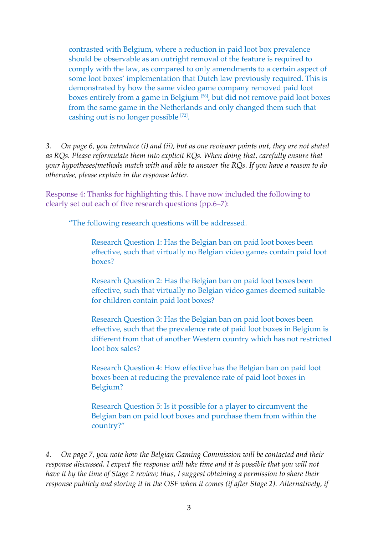contrasted with Belgium, where a reduction in paid loot box prevalence should be observable as an outright removal of the feature is required to comply with the law, as compared to only amendments to a certain aspect of some loot boxes' implementation that Dutch law previously required. This is demonstrated by how the same video game company removed paid loot boxes entirely from a game in Belgium [56], but did not remove paid loot boxes from the same game in the Netherlands and only changed them such that cashing out is no longer possible [72].

*3. On page 6, you introduce (i) and (ii), but as one reviewer points out, they are not stated as RQs. Please reformulate them into explicit RQs. When doing that, carefully ensure that your hypotheses/methods match with and able to answer the RQs. If you have a reason to do otherwise, please explain in the response letter.* 

Response 4: Thanks for highlighting this. I have now included the following to clearly set out each of five research questions (pp.6–7):

"The following research questions will be addressed.

Research Question 1: Has the Belgian ban on paid loot boxes been effective, such that virtually no Belgian video games contain paid loot boxes?

Research Question 2: Has the Belgian ban on paid loot boxes been effective, such that virtually no Belgian video games deemed suitable for children contain paid loot boxes?

Research Question 3: Has the Belgian ban on paid loot boxes been effective, such that the prevalence rate of paid loot boxes in Belgium is different from that of another Western country which has not restricted loot box sales?

Research Question 4: How effective has the Belgian ban on paid loot boxes been at reducing the prevalence rate of paid loot boxes in Belgium?

Research Question 5: Is it possible for a player to circumvent the Belgian ban on paid loot boxes and purchase them from within the country?"

*4. On page 7, you note how the Belgian Gaming Commission will be contacted and their response discussed. I expect the response will take time and it is possible that you will not have it by the time of Stage 2 review; thus, I suggest obtaining a permission to share their response publicly and storing it in the OSF when it comes (if after Stage 2). Alternatively, if*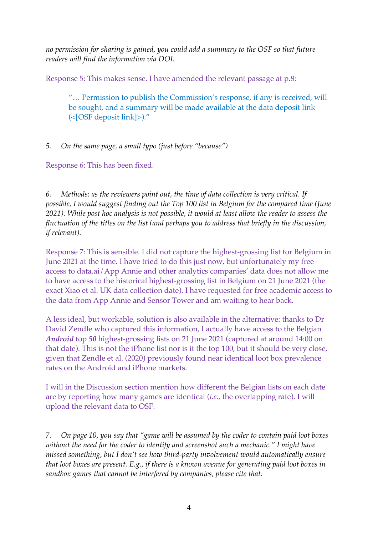*no permission for sharing is gained, you could add a summary to the OSF so that future readers will find the information via DOI.* 

Response 5: This makes sense. I have amended the relevant passage at p.8:

"… Permission to publish the Commission's response, if any is received, will be sought, and a summary will be made available at the data deposit link (<[OSF deposit link]>)."

*5. On the same page, a small typo (just before "because")*

Response 6: This has been fixed.

*6. Methods: as the reviewers point out, the time of data collection is very critical. If possible, I would suggest finding out the Top 100 list in Belgium for the compared time (June 2021). While post hoc analysis is not possible, it would at least allow the reader to assess the fluctuation of the titles on the list (and perhaps you to address that briefly in the discussion, if relevant).*

Response 7: This is sensible. I did not capture the highest-grossing list for Belgium in June 2021 at the time. I have tried to do this just now, but unfortunately my free access to data.ai/App Annie and other analytics companies' data does not allow me to have access to the historical highest-grossing list in Belgium on 21 June 2021 (the exact Xiao et al. UK data collection date). I have requested for free academic access to the data from App Annie and Sensor Tower and am waiting to hear back.

A less ideal, but workable, solution is also available in the alternative: thanks to Dr David Zendle who captured this information, I actually have access to the Belgian *Android* top *50* highest-grossing lists on 21 June 2021 (captured at around 14:00 on that date). This is not the iPhone list nor is it the top 100, but it should be very close, given that Zendle et al. (2020) previously found near identical loot box prevalence rates on the Android and iPhone markets.

I will in the Discussion section mention how different the Belgian lists on each date are by reporting how many games are identical (*i.e.*, the overlapping rate). I will upload the relevant data to OSF.

*7. On page 10, you say that "game will be assumed by the coder to contain paid loot boxes without the need for the coder to identify and screenshot such a mechanic." I might have missed something, but I don't see how third-party involvement would automatically ensure that loot boxes are present. E.g., if there is a known avenue for generating paid loot boxes in sandbox games that cannot be interfered by companies, please cite that.*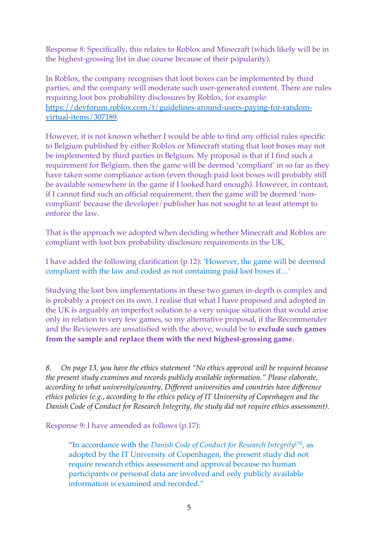Response 8: Specifically, this relates to Roblox and Minecraft (which likely will be in the highest-grossing list in due course because of their popularity).

In Roblox, the company recognises that loot boxes can be implemented by third parties, and the company will moderate such user-generated content. There are rules requiring loot box probability disclosures by Roblox, for example: https://devforum.roblox.com/t/guidelines-around-users-paying-for-randomvirtual-items/307189.

However, it is not known whether I would be able to find any official rules specific to Belgium published by either Roblox or Minecraft stating that loot boxes may not be implemented by third parties in Belgium. My proposal is that if I find such a requirement for Belgium, then the game will be deemed 'compliant' in so far as they have taken some compliance action (even though paid loot boxes will probably still be available somewhere in the game if I looked hard enough). However, in contrast, if I cannot find such an official requirement, then the game will be deemed 'noncompliant' because the developer/publisher has not sought to at least attempt to enforce the law.

That is the approach we adopted when deciding whether Minecraft and Roblox are compliant with loot box probability disclosure requirements in the UK.

I have added the following clarification (p.12): 'However, the game will be deemed compliant with the law and coded as not containing paid loot boxes if…'

Studying the loot box implementations in these two games in-depth is complex and is probably a project on its own. I realise that what I have proposed and adopted in the UK is arguably an imperfect solution to a very unique situation that would arise only in relation to very few games, so my alternative proposal, if the Recommender and the Reviewers are unsatisfied with the above, would be to **exclude such games from the sample and replace them with the next highest-grossing game**.

*8. On page 13, you have the ethics statement "No ethics approval will be required because the present study examines and records publicly available information." Please elaborate, according to what university/country. Different universities and countries have difference ethics policies (e.g., according to the ethics policy of IT University of Copenhagen and the Danish Code of Conduct for Research Integrity, the study did not require ethics assessment).* 

Response 9: I have amended as follows (p.17):

"In accordance with the *Danish Code of Conduct for Research Integrity*[75], as adopted by the IT University of Copenhagen, the present study did not require research ethics assessment and approval because no human participants or personal data are involved and only publicly available information is examined and recorded."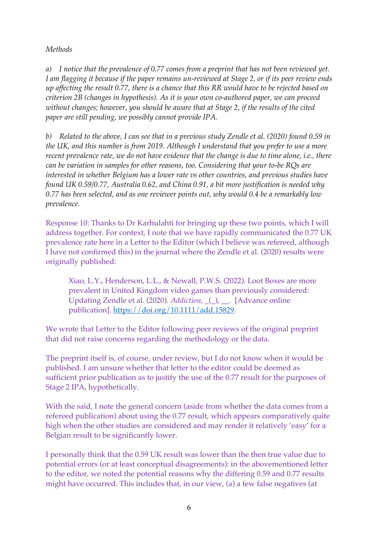# *Methods*

*a) I notice that the prevalence of 0.77 comes from a preprint that has not been reviewed yet. I am flagging it because if the paper remains un-reviewed at Stage 2, or if its peer review ends up affecting the result 0.77, there is a chance that this RR would have to be rejected based on criterion 2B (changes in hypothesis). As it is your own co-authored paper, we can proceed without changes; however, you should be aware that at Stage 2, if the results of the cited paper are still pending, we possibly cannot provide IPA.*

*b) Related to the above, I can see that in a previous study Zendle et al. (2020) found 0.59 in the UK, and this number is from 2019. Although I understand that you prefer to use a more recent prevalence rate, we do not have evidence that the change is due to time alone, i.e., there can be variation in samples for other reasons, too. Considering that your to-be RQs are interested in whether Belgium has a lower rate vs other countries, and previous studies have found UK 0.59/0.77, Australia 0.62, and China 0.91, a bit more justification is needed why 0.77 has been selected, and as one reviewer points out, why would 0.4 be a remarkably low prevalence.*

Response 10: Thanks to Dr Karhulahti for bringing up these two points, which I will address together. For context, I note that we have rapidly communicated the 0.77 UK prevalence rate here in a Letter to the Editor (which I believe was refereed, although I have not confirmed this) in the journal where the Zendle et al. (2020) results were originally published:

Xiao, L.Y., Henderson, L.L., & Newall, P.W.S. (2022). Loot Boxes are more prevalent in United Kingdom video games than previously considered: Updating Zendle et al. (2020). *Addiction*, \_(\_), \_\_. [Advance online publication]. https://doi.org/10.1111/add.15829.

We wrote that Letter to the Editor following peer reviews of the original preprint that did not raise concerns regarding the methodology or the data.

The preprint itself is, of course, under review, but I do not know when it would be published. I am unsure whether that letter to the editor could be deemed as sufficient prior publication as to justify the use of the 0.77 result for the purposes of Stage 2 IPA, hypothetically.

With the said, I note the general concern (aside from whether the data comes from a refereed publication) about using the 0.77 result, which appears comparatively quite high when the other studies are considered and may render it relatively 'easy' for a Belgian result to be significantly lower.

I personally think that the 0.59 UK result was lower than the then true value due to potential errors (or at least conceptual disagreements): in the abovementioned letter to the editor, we noted the potential reasons why the differing 0.59 and 0.77 results might have occurred. This includes that, in our view, (a) a few false negatives (at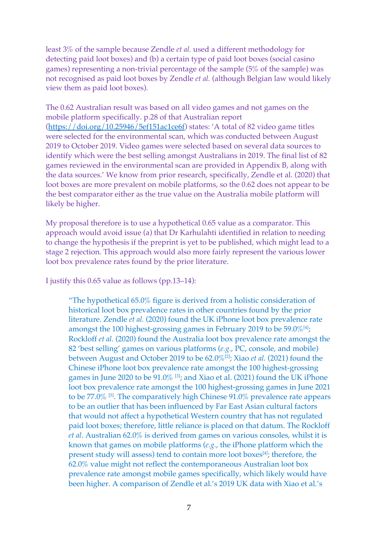least 3% of the sample because Zendle *et al.* used a different methodology for detecting paid loot boxes) and (b) a certain type of paid loot boxes (social casino games) representing a non-trivial percentage of the sample (5% of the sample) was not recognised as paid loot boxes by Zendle *et al.* (although Belgian law would likely view them as paid loot boxes).

The 0.62 Australian result was based on all video games and not games on the mobile platform specifically. p.28 of that Australian report (https://doi.org/10.25946/5ef151ac1ce6f) states: 'A total of 82 video game titles were selected for the environmental scan, which was conducted between August 2019 to October 2019. Video games were selected based on several data sources to identify which were the best selling amongst Australians in 2019. The final list of 82 games reviewed in the environmental scan are provided in Appendix B, along with the data sources.' We know from prior research, specifically, Zendle et al. (2020) that loot boxes are more prevalent on mobile platforms, so the 0.62 does not appear to be the best comparator either as the true value on the Australia mobile platform will likely be higher.

My proposal therefore is to use a hypothetical 0.65 value as a comparator. This approach would avoid issue (a) that Dr Karhulahti identified in relation to needing to change the hypothesis if the preprint is yet to be published, which might lead to a stage 2 rejection. This approach would also more fairly represent the various lower loot box prevalence rates found by the prior literature.

I justify this 0.65 value as follows (pp.13–14):

"The hypothetical 65.0% figure is derived from a holistic consideration of historical loot box prevalence rates in other countries found by the prior literature. Zendle *et al.* (2020) found the UK iPhone loot box prevalence rate amongst the 100 highest-grossing games in February 2019 to be  $59.0\%$ <sup>[4]</sup>; Rockloff *et al.* (2020) found the Australia loot box prevalence rate amongst the 82 'best selling' games on various platforms (*e.g.*, PC, console, and mobile) between August and October 2019 to be 62.0%[2]; Xiao *et al.* (2021) found the Chinese iPhone loot box prevalence rate amongst the 100 highest-grossing games in June 2020 to be 91.0% <sup>[3]</sup>; and Xiao et al. (2021) found the UK iPhone loot box prevalence rate amongst the 100 highest-grossing games in June 2021 to be 77.0% [5]. The comparatively high Chinese 91.0% prevalence rate appears to be an outlier that has been influenced by Far East Asian cultural factors that would not affect a hypothetical Western country that has not regulated paid loot boxes; therefore, little reliance is placed on that datum. The Rockloff *et al*. Australian 62.0% is derived from games on various consoles, whilst it is known that games on mobile platforms (*e.g.*, the iPhone platform which the present study will assess) tend to contain more loot boxes<sup>[4]</sup>; therefore, the 62.0% value might not reflect the contemporaneous Australian loot box prevalence rate amongst mobile games specifically, which likely would have been higher. A comparison of Zendle et al.'s 2019 UK data with Xiao et al.'s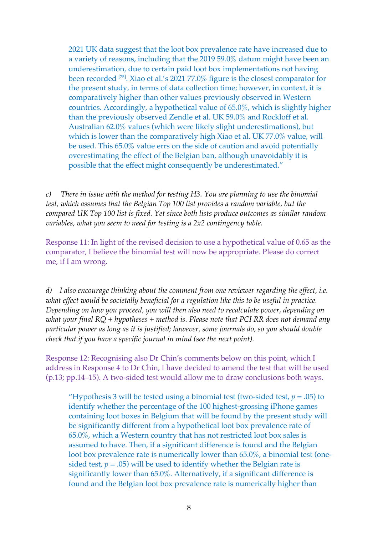2021 UK data suggest that the loot box prevalence rate have increased due to a variety of reasons, including that the 2019 59.0% datum might have been an underestimation, due to certain paid loot box implementations not having been recorded [75]. Xiao et al.'s 2021 77.0% figure is the closest comparator for the present study, in terms of data collection time; however, in context, it is comparatively higher than other values previously observed in Western countries. Accordingly, a hypothetical value of 65.0%, which is slightly higher than the previously observed Zendle et al. UK 59.0% and Rockloff et al. Australian 62.0% values (which were likely slight underestimations), but which is lower than the comparatively high Xiao et al. UK 77.0% value, will be used. This 65.0% value errs on the side of caution and avoid potentially overestimating the effect of the Belgian ban, although unavoidably it is possible that the effect might consequently be underestimated."

*c) There in issue with the method for testing H3. You are planning to use the binomial test, which assumes that the Belgian Top 100 list provides a random variable, but the compared UK Top 100 list is fixed. Yet since both lists produce outcomes as similar random variables, what you seem to need for testing is a 2x2 contingency table.* 

Response 11: In light of the revised decision to use a hypothetical value of 0.65 as the comparator, I believe the binomial test will now be appropriate. Please do correct me, if I am wrong.

*d) I also encourage thinking about the comment from one reviewer regarding the effect, i.e. what effect would be societally beneficial for a regulation like this to be useful in practice. Depending on how you proceed, you will then also need to recalculate power, depending on what your final RQ + hypotheses + method is. Please note that PCI RR does not demand any particular power as long as it is justified; however, some journals do, so you should double check that if you have a specific journal in mind (see the next point).* 

Response 12: Recognising also Dr Chin's comments below on this point, which I address in Response 4 to Dr Chin, I have decided to amend the test that will be used (p.13; pp.14–15). A two-sided test would allow me to draw conclusions both ways.

"Hypothesis 3 will be tested using a binomial test (two-sided test,  $p = .05$ ) to identify whether the percentage of the 100 highest-grossing iPhone games containing loot boxes in Belgium that will be found by the present study will be significantly different from a hypothetical loot box prevalence rate of 65.0%, which a Western country that has not restricted loot box sales is assumed to have. Then, if a significant difference is found and the Belgian loot box prevalence rate is numerically lower than 65.0%, a binomial test (onesided test,  $p = .05$ ) will be used to identify whether the Belgian rate is significantly lower than 65.0%. Alternatively, if a significant difference is found and the Belgian loot box prevalence rate is numerically higher than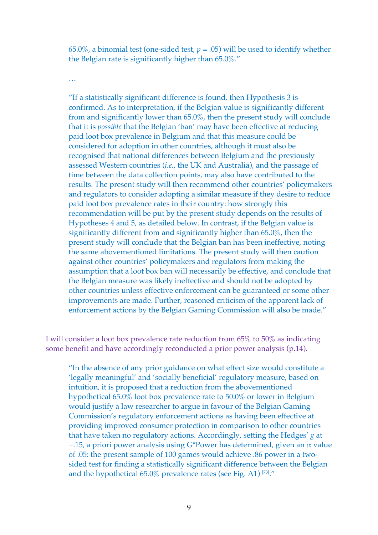65.0%, a binomial test (one-sided test,  $p = .05$ ) will be used to identify whether the Belgian rate is significantly higher than 65.0%."

…

"If a statistically significant difference is found, then Hypothesis 3 is confirmed. As to interpretation, if the Belgian value is significantly different from and significantly lower than 65.0%, then the present study will conclude that it is *possible* that the Belgian 'ban' may have been effective at reducing paid loot box prevalence in Belgium and that this measure could be considered for adoption in other countries, although it must also be recognised that national differences between Belgium and the previously assessed Western countries (*i.e.*, the UK and Australia), and the passage of time between the data collection points, may also have contributed to the results. The present study will then recommend other countries' policymakers and regulators to consider adopting a similar measure if they desire to reduce paid loot box prevalence rates in their country: how strongly this recommendation will be put by the present study depends on the results of Hypotheses 4 and 5, as detailed below. In contrast, if the Belgian value is significantly different from and significantly higher than 65.0%, then the present study will conclude that the Belgian ban has been ineffective, noting the same abovementioned limitations. The present study will then caution against other countries' policymakers and regulators from making the assumption that a loot box ban will necessarily be effective, and conclude that the Belgian measure was likely ineffective and should not be adopted by other countries unless effective enforcement can be guaranteed or some other improvements are made. Further, reasoned criticism of the apparent lack of enforcement actions by the Belgian Gaming Commission will also be made."

I will consider a loot box prevalence rate reduction from 65% to 50% as indicating some benefit and have accordingly reconducted a prior power analysis (p.14).

"In the absence of any prior guidance on what effect size would constitute a 'legally meaningful' and 'socially beneficial' regulatory measure, based on intuition, it is proposed that a reduction from the abovementioned hypothetical 65.0% loot box prevalence rate to 50.0% or lower in Belgium would justify a law researcher to argue in favour of the Belgian Gaming Commission's regulatory enforcement actions as having been effective at providing improved consumer protection in comparison to other countries that have taken no regulatory actions. Accordingly, setting the Hedges' *g* at  $-15$ , a priori power analysis using G\*Power has determined, given an  $\alpha$  value of .05: the present sample of 100 games would achieve .86 power in a twosided test for finding a statistically significant difference between the Belgian and the hypothetical 65.0% prevalence rates (see Fig. A1) [73]."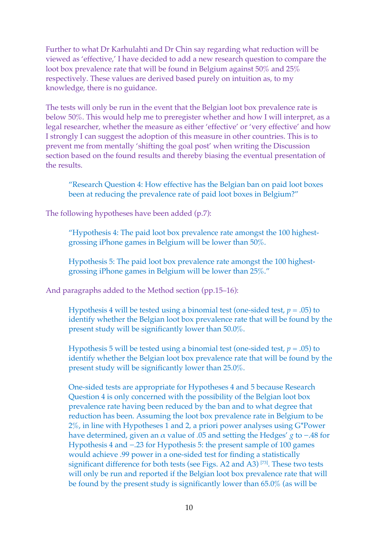Further to what Dr Karhulahti and Dr Chin say regarding what reduction will be viewed as 'effective,' I have decided to add a new research question to compare the loot box prevalence rate that will be found in Belgium against 50% and 25% respectively. These values are derived based purely on intuition as, to my knowledge, there is no guidance.

The tests will only be run in the event that the Belgian loot box prevalence rate is below 50%. This would help me to preregister whether and how I will interpret, as a legal researcher, whether the measure as either 'effective' or 'very effective' and how I strongly I can suggest the adoption of this measure in other countries. This is to prevent me from mentally 'shifting the goal post' when writing the Discussion section based on the found results and thereby biasing the eventual presentation of the results.

"Research Question 4: How effective has the Belgian ban on paid loot boxes been at reducing the prevalence rate of paid loot boxes in Belgium?"

The following hypotheses have been added (p.7):

"Hypothesis 4: The paid loot box prevalence rate amongst the 100 highestgrossing iPhone games in Belgium will be lower than 50%.

Hypothesis 5: The paid loot box prevalence rate amongst the 100 highestgrossing iPhone games in Belgium will be lower than 25%."

And paragraphs added to the Method section (pp.15–16):

Hypothesis 4 will be tested using a binomial test (one-sided test, *p* = .05) to identify whether the Belgian loot box prevalence rate that will be found by the present study will be significantly lower than 50.0%.

Hypothesis 5 will be tested using a binomial test (one-sided test, *p* = .05) to identify whether the Belgian loot box prevalence rate that will be found by the present study will be significantly lower than 25.0%.

One-sided tests are appropriate for Hypotheses 4 and 5 because Research Question 4 is only concerned with the possibility of the Belgian loot box prevalence rate having been reduced by the ban and to what degree that reduction has been. Assuming the loot box prevalence rate in Belgium to be 2%, in line with Hypotheses 1 and 2, a priori power analyses using G\*Power have determined, given an α value of .05 and setting the Hedges' *g* to −.48 for Hypothesis 4 and −.23 for Hypothesis 5: the present sample of 100 games would achieve .99 power in a one-sided test for finding a statistically significant difference for both tests (see Figs. A2 and A3)<sup>[73]</sup>. These two tests will only be run and reported if the Belgian loot box prevalence rate that will be found by the present study is significantly lower than 65.0% (as will be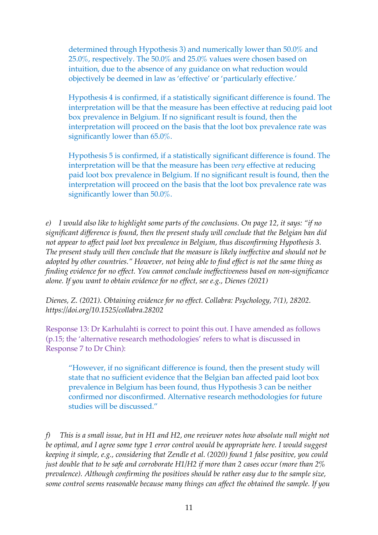determined through Hypothesis 3) and numerically lower than 50.0% and 25.0%, respectively. The 50.0% and 25.0% values were chosen based on intuition, due to the absence of any guidance on what reduction would objectively be deemed in law as 'effective' or 'particularly effective.'

Hypothesis 4 is confirmed, if a statistically significant difference is found. The interpretation will be that the measure has been effective at reducing paid loot box prevalence in Belgium. If no significant result is found, then the interpretation will proceed on the basis that the loot box prevalence rate was significantly lower than 65.0%.

Hypothesis 5 is confirmed, if a statistically significant difference is found. The interpretation will be that the measure has been *very* effective at reducing paid loot box prevalence in Belgium. If no significant result is found, then the interpretation will proceed on the basis that the loot box prevalence rate was significantly lower than 50.0%.

*e) I would also like to highlight some parts of the conclusions. On page 12, it says: "if no significant difference is found, then the present study will conclude that the Belgian ban did not appear to affect paid loot box prevalence in Belgium, thus disconfirming Hypothesis 3. The present study will then conclude that the measure is likely ineffective and should not be adopted by other countries." However, not being able to find effect is not the same thing as finding evidence for no effect. You cannot conclude ineffectiveness based on non-significance alone. If you want to obtain evidence for no effect, see e.g., Dienes (2021)*

*Dienes, Z. (2021). Obtaining evidence for no effect. Collabra: Psychology, 7(1), 28202. https://doi.org/10.1525/collabra.28202*

Response 13: Dr Karhulahti is correct to point this out. I have amended as follows (p.15; the 'alternative research methodologies' refers to what is discussed in Response 7 to Dr Chin):

"However, if no significant difference is found, then the present study will state that no sufficient evidence that the Belgian ban affected paid loot box prevalence in Belgium has been found, thus Hypothesis 3 can be neither confirmed nor disconfirmed. Alternative research methodologies for future studies will be discussed."

*f) This is a small issue, but in H1 and H2, one reviewer notes how absolute null might not be optimal, and I agree some type 1 error control would be appropriate here. I would suggest keeping it simple, e.g., considering that Zendle et al. (2020) found 1 false positive, you could just double that to be safe and corroborate H1/H2 if more than 2 cases occur (more than 2% prevalence). Although confirming the positives should be rather easy due to the sample size, some control seems reasonable because many things can affect the obtained the sample. If you*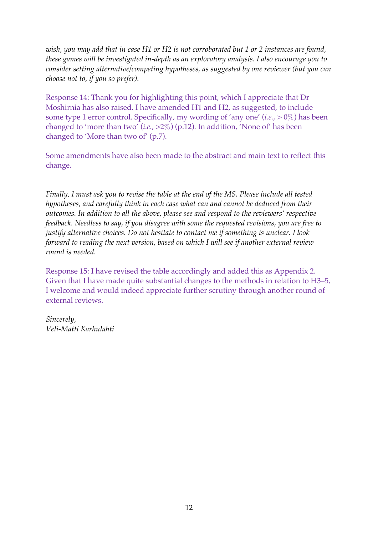*wish, you may add that in case H1 or H2 is not corroborated but 1 or 2 instances are found, these games will be investigated in-depth as an exploratory analysis. I also encourage you to consider setting alternative/competing hypotheses, as suggested by one reviewer (but you can choose not to, if you so prefer).* 

Response 14: Thank you for highlighting this point, which I appreciate that Dr Moshirnia has also raised. I have amended H1 and H2, as suggested, to include some type 1 error control. Specifically, my wording of 'any one' (*i.e.*, > 0%) has been changed to 'more than two' (*i.e.*, >2%) (p.12). In addition, 'None of' has been changed to 'More than two of' (p.7).

Some amendments have also been made to the abstract and main text to reflect this change.

*Finally, I must ask you to revise the table at the end of the MS. Please include all tested hypotheses, and carefully think in each case what can and cannot be deduced from their outcomes. In addition to all the above, please see and respond to the reviewers' respective feedback. Needless to say, if you disagree with some the requested revisions, you are free to justify alternative choices. Do not hesitate to contact me if something is unclear. I look forward to reading the next version, based on which I will see if another external review round is needed.*

Response 15: I have revised the table accordingly and added this as Appendix 2. Given that I have made quite substantial changes to the methods in relation to H3–5, I welcome and would indeed appreciate further scrutiny through another round of external reviews.

*Sincerely, Veli-Matti Karhulahti*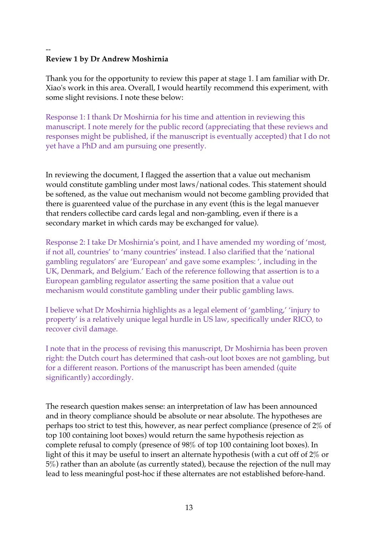#### -- **Review 1 by Dr Andrew Moshirnia**

Thank you for the opportunity to review this paper at stage 1. I am familiar with Dr. Xiao's work in this area. Overall, I would heartily recommend this experiment, with some slight revisions. I note these below:

Response 1: I thank Dr Moshirnia for his time and attention in reviewing this manuscript. I note merely for the public record (appreciating that these reviews and responses might be published, if the manuscript is eventually accepted) that I do not yet have a PhD and am pursuing one presently.

In reviewing the document, I flagged the assertion that a value out mechanism would constitute gambling under most laws/national codes. This statement should be softened, as the value out mechanism would not become gambling provided that there is guarenteed value of the purchase in any event (this is the legal manuever that renders collectibe card cards legal and non-gambling, even if there is a secondary market in which cards may be exchanged for value).

Response 2: I take Dr Moshirnia's point, and I have amended my wording of 'most, if not all, countries' to 'many countries' instead. I also clarified that the 'national gambling regulators' are 'European' and gave some examples: ', including in the UK, Denmark, and Belgium.' Each of the reference following that assertion is to a European gambling regulator asserting the same position that a value out mechanism would constitute gambling under their public gambling laws.

I believe what Dr Moshirnia highlights as a legal element of 'gambling,' 'injury to property' is a relatively unique legal hurdle in US law, specifically under RICO, to recover civil damage.

I note that in the process of revising this manuscript, Dr Moshirnia has been proven right: the Dutch court has determined that cash-out loot boxes are not gambling, but for a different reason. Portions of the manuscript has been amended (quite significantly) accordingly.

The research question makes sense: an interpretation of law has been announced and in theory compliance should be absolute or near absolute. The hypotheses are perhaps too strict to test this, however, as near perfect compliance (presence of 2% of top 100 containing loot boxes) would return the same hypothesis rejection as complete refusal to comply (presence of 98% of top 100 containing loot boxes). In light of this it may be useful to insert an alternate hypothesis (with a cut off of 2% or 5%) rather than an abolute (as currently stated), because the rejection of the null may lead to less meaningful post-hoc if these alternates are not established before-hand.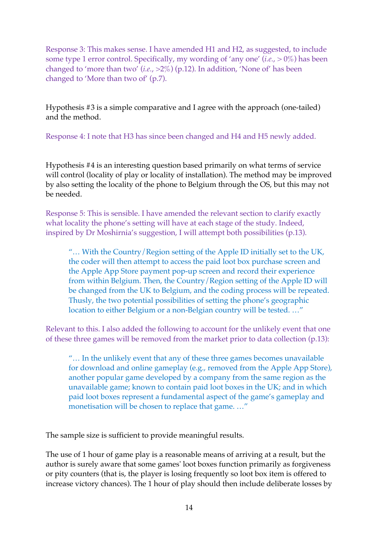Response 3: This makes sense. I have amended H1 and H2, as suggested, to include some type 1 error control. Specifically, my wording of 'any one' (*i.e.*, > 0%) has been changed to 'more than two' (*i.e.*, >2%) (p.12). In addition, 'None of' has been changed to 'More than two of' (p.7).

Hypothesis #3 is a simple comparative and I agree with the approach (one-tailed) and the method.

Response 4: I note that H3 has since been changed and H4 and H5 newly added.

Hypothesis #4 is an interesting question based primarily on what terms of service will control (locality of play or locality of installation). The method may be improved by also setting the locality of the phone to Belgium through the OS, but this may not be needed.

Response 5: This is sensible. I have amended the relevant section to clarify exactly what locality the phone's setting will have at each stage of the study. Indeed, inspired by Dr Moshirnia's suggestion, I will attempt both possibilities (p.13).

"... With the Country/Region setting of the Apple ID initially set to the UK, the coder will then attempt to access the paid loot box purchase screen and the Apple App Store payment pop-up screen and record their experience from within Belgium. Then, the Country/Region setting of the Apple ID will be changed from the UK to Belgium, and the coding process will be repeated. Thusly, the two potential possibilities of setting the phone's geographic location to either Belgium or a non-Belgian country will be tested. …"

Relevant to this. I also added the following to account for the unlikely event that one of these three games will be removed from the market prior to data collection (p.13):

"… In the unlikely event that any of these three games becomes unavailable for download and online gameplay (e.g., removed from the Apple App Store), another popular game developed by a company from the same region as the unavailable game; known to contain paid loot boxes in the UK; and in which paid loot boxes represent a fundamental aspect of the game's gameplay and monetisation will be chosen to replace that game. …"

The sample size is sufficient to provide meaningful results.

The use of 1 hour of game play is a reasonable means of arriving at a result, but the author is surely aware that some games' loot boxes function primarily as forgiveness or pity counters (that is, the player is losing frequently so loot box item is offered to increase victory chances). The 1 hour of play should then include deliberate losses by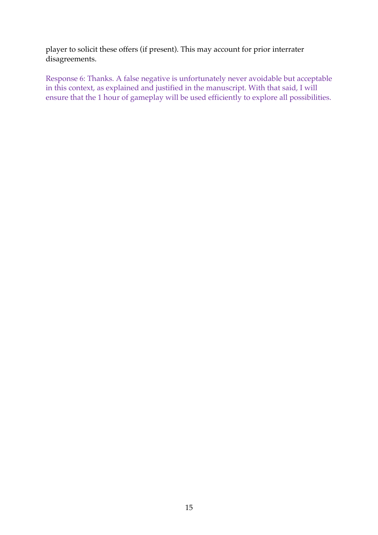player to solicit these offers (if present). This may account for prior interrater disagreements.

Response 6: Thanks. A false negative is unfortunately never avoidable but acceptable in this context, as explained and justified in the manuscript. With that said, I will ensure that the 1 hour of gameplay will be used efficiently to explore all possibilities.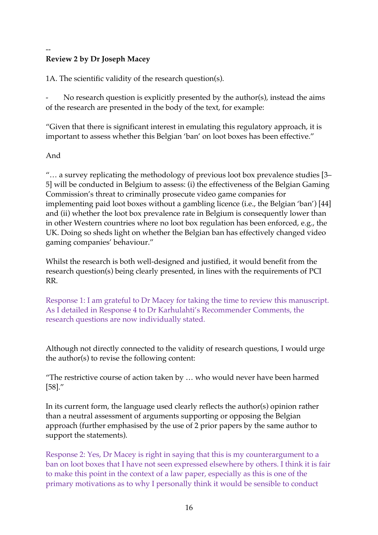### -- **Review 2 by Dr Joseph Macey**

1A. The scientific validity of the research question(s).

No research question is explicitly presented by the author(s), instead the aims of the research are presented in the body of the text, for example:

"Given that there is significant interest in emulating this regulatory approach, it is important to assess whether this Belgian 'ban' on loot boxes has been effective."

# And

"… a survey replicating the methodology of previous loot box prevalence studies [3– 5] will be conducted in Belgium to assess: (i) the effectiveness of the Belgian Gaming Commission's threat to criminally prosecute video game companies for implementing paid loot boxes without a gambling licence (i.e., the Belgian 'ban') [44] and (ii) whether the loot box prevalence rate in Belgium is consequently lower than in other Western countries where no loot box regulation has been enforced, e.g., the UK. Doing so sheds light on whether the Belgian ban has effectively changed video gaming companies' behaviour."

Whilst the research is both well-designed and justified, it would benefit from the research question(s) being clearly presented, in lines with the requirements of PCI RR.

Response 1: I am grateful to Dr Macey for taking the time to review this manuscript. As I detailed in Response 4 to Dr Karhulahti's Recommender Comments, the research questions are now individually stated.

Although not directly connected to the validity of research questions, I would urge the author(s) to revise the following content:

"The restrictive course of action taken by … who would never have been harmed [58]."

In its current form, the language used clearly reflects the author(s) opinion rather than a neutral assessment of arguments supporting or opposing the Belgian approach (further emphasised by the use of 2 prior papers by the same author to support the statements).

Response 2: Yes, Dr Macey is right in saying that this is my counterargument to a ban on loot boxes that I have not seen expressed elsewhere by others. I think it is fair to make this point in the context of a law paper, especially as this is one of the primary motivations as to why I personally think it would be sensible to conduct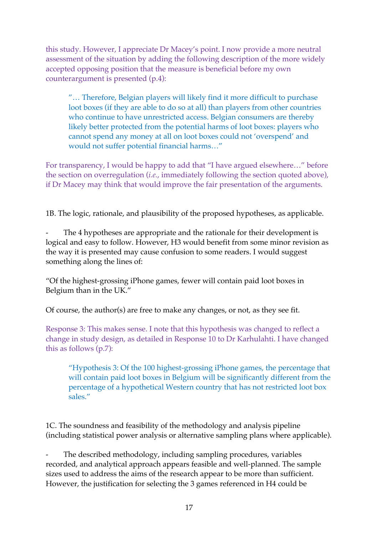this study. However, I appreciate Dr Macey's point. I now provide a more neutral assessment of the situation by adding the following description of the more widely accepted opposing position that the measure is beneficial before my own counterargument is presented (p.4):

"… Therefore, Belgian players will likely find it more difficult to purchase loot boxes (if they are able to do so at all) than players from other countries who continue to have unrestricted access. Belgian consumers are thereby likely better protected from the potential harms of loot boxes: players who cannot spend any money at all on loot boxes could not 'overspend' and would not suffer potential financial harms…"

For transparency, I would be happy to add that "I have argued elsewhere…" before the section on overregulation (*i.e.*, immediately following the section quoted above), if Dr Macey may think that would improve the fair presentation of the arguments.

1B. The logic, rationale, and plausibility of the proposed hypotheses, as applicable.

The 4 hypotheses are appropriate and the rationale for their development is logical and easy to follow. However, H3 would benefit from some minor revision as the way it is presented may cause confusion to some readers. I would suggest something along the lines of:

"Of the highest-grossing iPhone games, fewer will contain paid loot boxes in Belgium than in the UK."

Of course, the author(s) are free to make any changes, or not, as they see fit.

Response 3: This makes sense. I note that this hypothesis was changed to reflect a change in study design, as detailed in Response 10 to Dr Karhulahti. I have changed this as follows (p.7):

"Hypothesis 3: Of the 100 highest-grossing iPhone games, the percentage that will contain paid loot boxes in Belgium will be significantly different from the percentage of a hypothetical Western country that has not restricted loot box sales."

1C. The soundness and feasibility of the methodology and analysis pipeline (including statistical power analysis or alternative sampling plans where applicable).

The described methodology, including sampling procedures, variables recorded, and analytical approach appears feasible and well-planned. The sample sizes used to address the aims of the research appear to be more than sufficient. However, the justification for selecting the 3 games referenced in H4 could be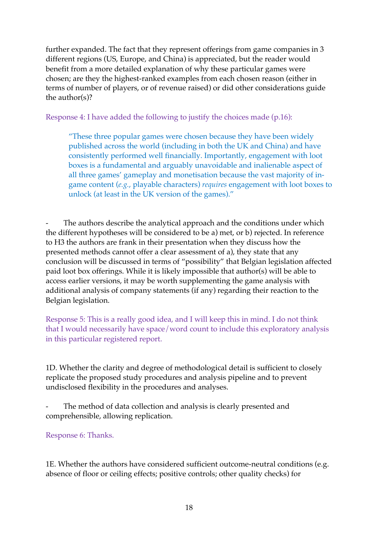further expanded. The fact that they represent offerings from game companies in 3 different regions (US, Europe, and China) is appreciated, but the reader would benefit from a more detailed explanation of why these particular games were chosen; are they the highest-ranked examples from each chosen reason (either in terms of number of players, or of revenue raised) or did other considerations guide the author(s)?

Response 4: I have added the following to justify the choices made (p.16):

"These three popular games were chosen because they have been widely published across the world (including in both the UK and China) and have consistently performed well financially. Importantly, engagement with loot boxes is a fundamental and arguably unavoidable and inalienable aspect of all three games' gameplay and monetisation because the vast majority of ingame content (*e.g.*, playable characters) *requires* engagement with loot boxes to unlock (at least in the UK version of the games)."

The authors describe the analytical approach and the conditions under which the different hypotheses will be considered to be a) met, or b) rejected. In reference to H3 the authors are frank in their presentation when they discuss how the presented methods cannot offer a clear assessment of a), they state that any conclusion will be discussed in terms of "possibility" that Belgian legislation affected paid loot box offerings. While it is likely impossible that author(s) will be able to access earlier versions, it may be worth supplementing the game analysis with additional analysis of company statements (if any) regarding their reaction to the Belgian legislation.

Response 5: This is a really good idea, and I will keep this in mind. I do not think that I would necessarily have space/word count to include this exploratory analysis in this particular registered report.

1D. Whether the clarity and degree of methodological detail is sufficient to closely replicate the proposed study procedures and analysis pipeline and to prevent undisclosed flexibility in the procedures and analyses.

The method of data collection and analysis is clearly presented and comprehensible, allowing replication.

Response 6: Thanks.

1E. Whether the authors have considered sufficient outcome-neutral conditions (e.g. absence of floor or ceiling effects; positive controls; other quality checks) for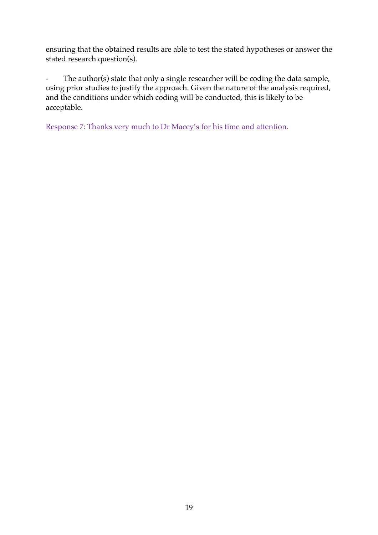ensuring that the obtained results are able to test the stated hypotheses or answer the stated research question(s).

- The author(s) state that only a single researcher will be coding the data sample, using prior studies to justify the approach. Given the nature of the analysis required, and the conditions under which coding will be conducted, this is likely to be acceptable.

Response 7: Thanks very much to Dr Macey's for his time and attention.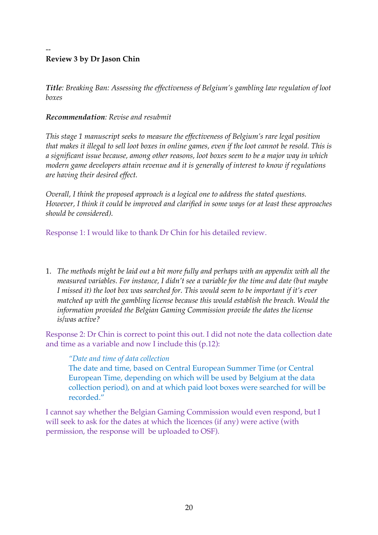#### -- **Review 3 by Dr Jason Chin**

*Title: Breaking Ban: Assessing the effectiveness of Belgium's gambling law regulation of loot boxes*

# *Recommendation: Revise and resubmit*

*This stage 1 manuscript seeks to measure the effectiveness of Belgium's rare legal position that makes it illegal to sell loot boxes in online games, even if the loot cannot be resold. This is a significant issue because, among other reasons, loot boxes seem to be a major way in which modern game developers attain revenue and it is generally of interest to know if regulations are having their desired effect.*

*Overall, I think the proposed approach is a logical one to address the stated questions. However, I think it could be improved and clarified in some ways (or at least these approaches should be considered).*

Response 1: I would like to thank Dr Chin for his detailed review.

1. *The methods might be laid out a bit more fully and perhaps with an appendix with all the measured variables. For instance, I didn't see a variable for the time and date (but maybe I missed it) the loot box was searched for. This would seem to be important if it's ever matched up with the gambling license because this would establish the breach. Would the information provided the Belgian Gaming Commission provide the dates the license is/was active?*

Response 2: Dr Chin is correct to point this out. I did not note the data collection date and time as a variable and now I include this (p.12):

### *"Date and time of data collection*

The date and time, based on Central European Summer Time (or Central European Time, depending on which will be used by Belgium at the data collection period), on and at which paid loot boxes were searched for will be recorded."

I cannot say whether the Belgian Gaming Commission would even respond, but I will seek to ask for the dates at which the licences (if any) were active (with permission, the response will be uploaded to OSF).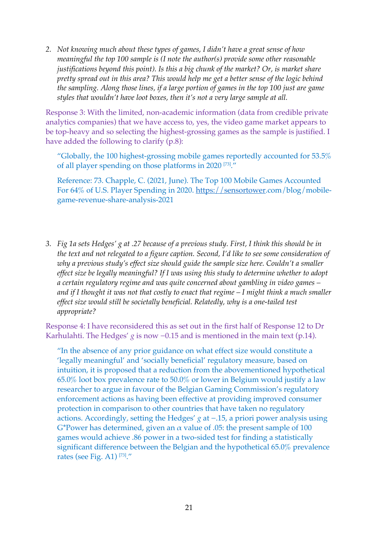*2. Not knowing much about these types of games, I didn't have a great sense of how meaningful the top 100 sample is (I note the author(s) provide some other reasonable justifications beyond this point). Is this a big chunk of the market? Or, is market share pretty spread out in this area? This would help me get a better sense of the logic behind the sampling. Along those lines, if a large portion of games in the top 100 just are game styles that wouldn't have loot boxes, then it's not a very large sample at all.*

Response 3: With the limited, non-academic information (data from credible private analytics companies) that we have access to, yes, the video game market appears to be top-heavy and so selecting the highest-grossing games as the sample is justified. I have added the following to clarify (p.8):

"Globally, the 100 highest-grossing mobile games reportedly accounted for 53.5% of all player spending on those platforms in 2020 [73] ."

Reference: 73. Chapple, C. (2021, June). The Top 100 Mobile Games Accounted For 64% of U.S. Player Spending in 2020. https://sensortower.com/blog/mobilegame-revenue-share-analysis-2021

*3. Fig 1a sets Hedges' g at .27 because of a previous study. First, I think this should be in the text and not relegated to a figure caption. Second, I'd like to see some consideration of why a previous study's effect size should guide the sample size here. Couldn't a smaller effect size be legally meaningful? If I was using this study to determine whether to adopt a certain regulatory regime and was quite concerned about gambling in video games – and if I thought it was not that costly to enact that regime – I might think a much smaller effect size would still be societally beneficial. Relatedly, why is a one-tailed test appropriate?*

Response 4: I have reconsidered this as set out in the first half of Response 12 to Dr Karhulahti. The Hedges' *g* is now −0.15 and is mentioned in the main text (p.14).

"In the absence of any prior guidance on what effect size would constitute a 'legally meaningful' and 'socially beneficial' regulatory measure, based on intuition, it is proposed that a reduction from the abovementioned hypothetical 65.0% loot box prevalence rate to 50.0% or lower in Belgium would justify a law researcher to argue in favour of the Belgian Gaming Commission's regulatory enforcement actions as having been effective at providing improved consumer protection in comparison to other countries that have taken no regulatory actions. Accordingly, setting the Hedges' *g* at −.15, a priori power analysis using G\*Power has determined, given an  $\alpha$  value of .05: the present sample of 100 games would achieve .86 power in a two-sided test for finding a statistically significant difference between the Belgian and the hypothetical 65.0% prevalence rates (see Fig. A1)  $^{[73]}$ ."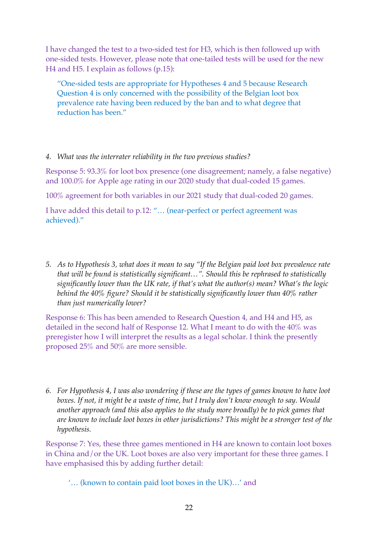I have changed the test to a two-sided test for H3, which is then followed up with one-sided tests. However, please note that one-tailed tests will be used for the new H4 and H5. I explain as follows (p.15):

"One-sided tests are appropriate for Hypotheses 4 and 5 because Research Question 4 is only concerned with the possibility of the Belgian loot box prevalence rate having been reduced by the ban and to what degree that reduction has been."

# *4. What was the interrater reliability in the two previous studies?*

Response 5: 93.3% for loot box presence (one disagreement; namely, a false negative) and 100.0% for Apple age rating in our 2020 study that dual-coded 15 games.

100% agreement for both variables in our 2021 study that dual-coded 20 games.

I have added this detail to p.12: "… (near-perfect or perfect agreement was achieved)."

*5. As to Hypothesis 3, what does it mean to say "If the Belgian paid loot box prevalence rate that will be found is statistically significant…". Should this be rephrased to statistically significantly lower than the UK rate, if that's what the author(s) mean? What's the logic behind the 40% figure? Should it be statistically significantly lower than 40% rather than just numerically lower?*

Response 6: This has been amended to Research Question 4, and H4 and H5, as detailed in the second half of Response 12. What I meant to do with the 40% was preregister how I will interpret the results as a legal scholar. I think the presently proposed 25% and 50% are more sensible.

*6. For Hypothesis 4, I was also wondering if these are the types of games known to have loot boxes. If not, it might be a waste of time, but I truly don't know enough to say. Would another approach (and this also applies to the study more broadly) be to pick games that are known to include loot boxes in other jurisdictions? This might be a stronger test of the hypothesis.*

Response 7: Yes, these three games mentioned in H4 are known to contain loot boxes in China and/or the UK. Loot boxes are also very important for these three games. I have emphasised this by adding further detail:

'… (known to contain paid loot boxes in the UK)…' and